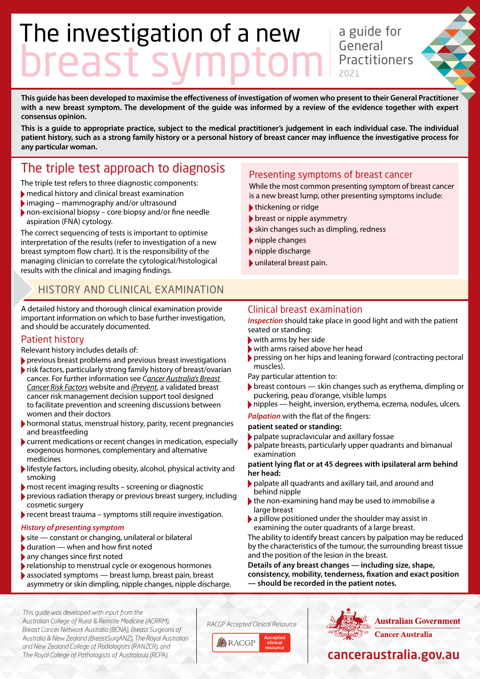# The investigation of a new breast symptom

a guide for General **Practitioners** 2021

**This guide has been developed to maximise the effectiveness of investigation of women who present to their General Practitioner with a new breast symptom. The development of the guide was informed by a review of the evidence together with expert consensus opinion.**

**This is a guide to appropriate practice, subject to the medical practitioner's judgement in each individual case. The individual patient history, such as a strong family history or a personal history of breast cancer may influence the investigative process for any particular woman.**

# The triple test approach to diagnosis

The triple test refers to three diagnostic components:

- medical history and clinical breast examination
- imaging mammography and/or ultrasound
- non-excisional biopsy core biopsy and/or fine needle aspiration (FNA) cytology.

The correct sequencing of tests is important to optimise interpretation of the results (refer to investigation of a new breast symptom flow chart). It is the responsibility of the managing clinician to correlate the cytological/histological results with the clinical and imaging findings.

### HISTORY AND CLINICAL EXAMINATION

A detailed history and thorough clinical examination provide important information on which to base further investigation, and should be accurately documented.

### Patient history

Relevant history includes details of:

- previous breast problems and previous breast investigations
- risk factors, particularly strong family history of breast/ovarian cancer. For further information see *[Cancer Australia's Breast](https://www.breastcancerriskfactors.gov.au/)  [Cancer Risk Factors](https://www.breastcancerriskfactors.gov.au/)* website and *[iPrevent](https://www.petermac.org/iprevent)*, a validated breast cancer risk management decision support tool designed to facilitate prevention and screening discussions between women and their doctors
- hormonal status, menstrual history, parity, recent pregnancies and breastfeeding
- current medications or recent changes in medication, especially exogenous hormones, complementary and alternative medicines
- lifestyle factors, including obesity, alcohol, physical activity and smoking
- most recent imaging results screening or diagnostic
- previous radiation therapy or previous breast surgery, including cosmetic surgery
- recent breast trauma symptoms still require investigation.

### *History of presenting symptom*

- $\blacktriangleright$  site constant or changing, unilateral or bilateral
- $\blacktriangleright$  duration when and how first noted
- any changes since first noted
- relationship to menstrual cycle or exogenous hormones
- associated symptoms breast lump, breast pain, breast asymmetry or skin dimpling, nipple changes, nipple discharge.

### Presenting symptoms of breast cancer

While the most common presenting symptom of breast cancer is a new breast lump, other presenting symptoms include:

- thickening or ridge
- breast or nipple asymmetry
- skin changes such as dimpling, redness
- nipple changes
- nipple discharge
- unilateral breast pain.

### Clinical breast examination

*Inspection* should take place in good light and with the patient seated or standing:

- with arms by her side
- with arms raised above her head
- pressing on her hips and leaning forward (contracting pectoral muscles).

Pay particular attention to:

- $\triangleright$  breast contours skin changes such as erythema, dimpling or puckering, peau d'orange, visible lumps
- nipples height, inversion, erythema, eczema, nodules, ulcers.

*Palpation* with the flat of the fingers:

#### **patient seated or standing:**

- palpate supraclavicular and axillary fossae
	- palpate breasts, particularly upper quadrants and bimanual examination

#### **patient lying flat or at 45 degrees with ipsilateral arm behind her head:**

- palpate all quadrants and axillary tail, and around and behind nipple
- the non-examining hand may be used to immobilise a large breast
- a pillow positioned under the shoulder may assist in examining the outer quadrants of a large breast.

The ability to identify breast cancers by palpation may be reduced by the characteristics of the tumour, the surrounding breast tissue and the position of the lesion in the breast.

**Details of any breast changes — including size, shape, consistency, mobility, tenderness, fixation and exact position — should be recorded in the patient notes.**

*This guide was developed with input from the Australian College of Rural & Remote Medicine (ACRRM), Breast Cancer Network Australia (BCNA), Breast Surgeons of Australia & New Zealand (BreastSurgANZ), The Royal Australian and New Zealand College of Radiologists (RANZCR), and The Royal College of Pathologists of Australasia (RCPA).*

*RACGP Accepted Clinical Resource*





# [canceraustralia.gov.au](http://canceraustralia.gov.au)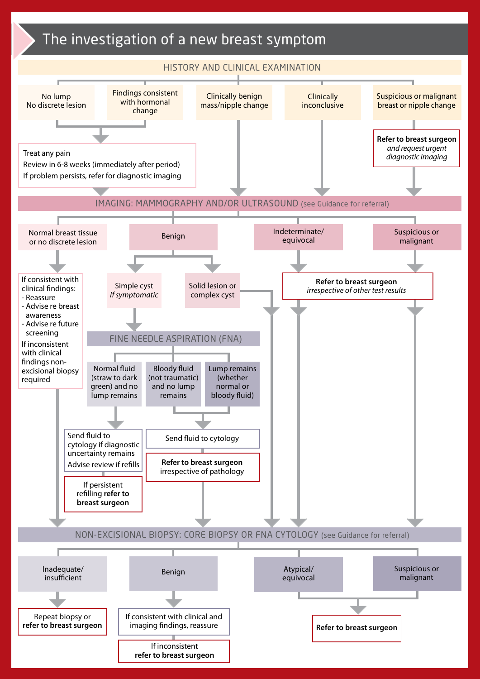# The investigation of a new breast symptom

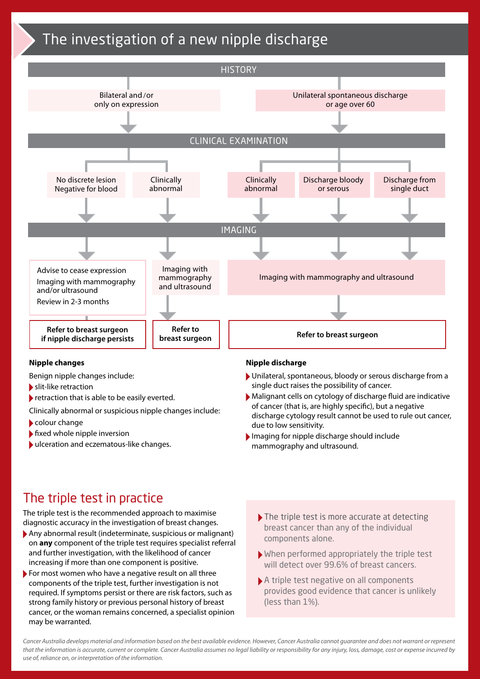# The investigation of a new nipple discharge



### **Nipple changes**

Benign nipple changes include:

- slit-like retraction
- retraction that is able to be easily everted.

Clinically abnormal or suspicious nipple changes include:

- colour change
- $\blacktriangleright$  fixed whole nipple inversion
- ulceration and eczematous-like changes.

#### **Nipple discharge**

- Unilateral, spontaneous, bloody or serous discharge from a single duct raises the possibility of cancer.
- Malignant cells on cytology of discharge fluid are indicative of cancer (that is, are highly specific), but a negative discharge cytology result cannot be used to rule out cancer, due to low sensitivity.
- Imaging for nipple discharge should include mammography and ultrasound.

# The triple test in practice

The triple test is the recommended approach to maximise diagnostic accuracy in the investigation of breast changes.

- Any abnormal result (indeterminate, suspicious or malignant) on **any** component of the triple test requires specialist referral and further investigation, with the likelihood of cancer increasing if more than one component is positive.
- For most women who have a negative result on all three components of the triple test, further investigation is not required. If symptoms persist or there are risk factors, such as strong family history or previous personal history of breast cancer, or the woman remains concerned, a specialist opinion may be warranted.
- The triple test is more accurate at detecting breast cancer than any of the individual components alone.
- When performed appropriately the triple test will detect over 99.6% of breast cancers.
- A triple test negative on all components provides good evidence that cancer is unlikely (less than 1%).

Cancer Australia develops material and information based on the best available evidence. However, Cancer Australia cannot quarantee and does not warrant or represent *that the information is accurate, current or complete. Cancer Australia assumes no legal liability or responsibility for any injury, loss, damage, cost or expense incurred by use of, reliance on, or interpretation of the information.*